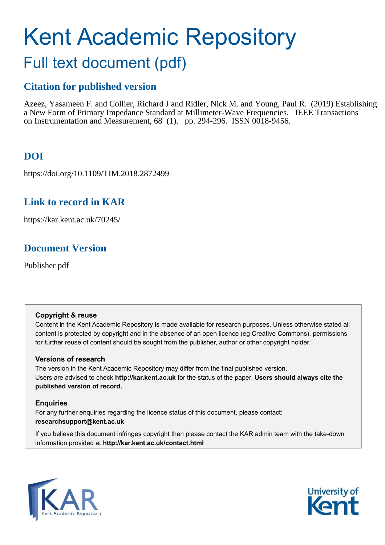# Kent Academic Repository Full text document (pdf)

# **Citation for published version**

Azeez, Yasameen F. and Collier, Richard J and Ridler, Nick M. and Young, Paul R. (2019) Establishing a New Form of Primary Impedance Standard at Millimeter-Wave Frequencies. IEEE Transactions on Instrumentation and Measurement, 68 (1). pp. 294-296. ISSN 0018-9456.

# **DOI**

https://doi.org/10.1109/TIM.2018.2872499

# **Link to record in KAR**

https://kar.kent.ac.uk/70245/

# **Document Version**

Publisher pdf

## **Copyright & reuse**

Content in the Kent Academic Repository is made available for research purposes. Unless otherwise stated all content is protected by copyright and in the absence of an open licence (eg Creative Commons), permissions for further reuse of content should be sought from the publisher, author or other copyright holder.

## **Versions of research**

The version in the Kent Academic Repository may differ from the final published version. Users are advised to check **http://kar.kent.ac.uk** for the status of the paper. **Users should always cite the published version of record.**

## **Enquiries**

For any further enquiries regarding the licence status of this document, please contact: **researchsupport@kent.ac.uk**

If you believe this document infringes copyright then please contact the KAR admin team with the take-down information provided at **http://kar.kent.ac.uk/contact.html**



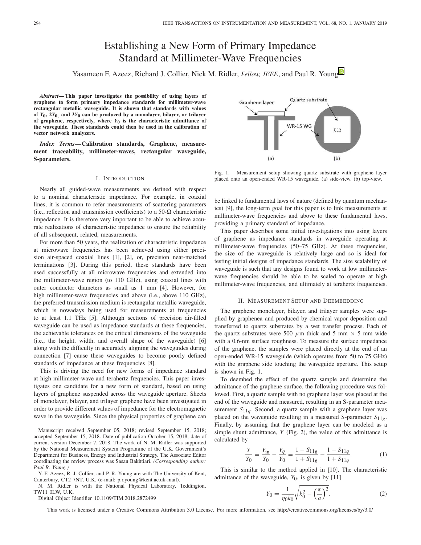## Establishing a New Form of Primary Impedance Standard at Millimeter-Wave Frequencies

Yasameen F. Azeez, Richard J. Collier, Nick M. Ridler, *Fellow, IEEE*, and Paul R. Youn[g](https://orcid.org/0000-0002-3707-2441)

*Abstract***— This paper investigates the possibility of using layers of graphene to form primary impedance standards for millimeter-wave rectangular metallic waveguide. It is shown that standards with values** of  $Y_0$ ,  $2Y_0$ , and  $3Y_0$  can be produced by a monolayer, bilayer, or trilayer of graphene, respectively, where  $Y_0$  is the characteristic admittance of **the waveguide. These standards could then be used in the calibration of vector network analyzers.**

*Index Terms***— Calibration standards, Graphene, measurement traceability, millimeter-waves, rectangular waveguide, S-parameters.**

### I. INTRODUCTION

Nearly all guided-wave measurements are defined with respect to a nominal characteristic impedance. For example, in coaxial lines, it is common to refer measurements of scattering parameters (i.e., reflection and transmission coefficients) to a 50- $\Omega$  characteristic impedance. It is therefore very important to be able to achieve accurate realizations of characteristic impedance to ensure the reliability of all subsequent, related, measurements.

For more than 50 years, the realization of characteristic impedance at microwave frequencies has been achieved using either precision air-spaced coaxial lines [1], [2], or, precision near-matched terminations [3]. During this period, these standards have been used successfully at all microwave frequencies and extended into the millimeter-wave region (to 110 GHz), using coaxial lines with outer conductor diameters as small as 1 mm [4]. However, for high millimeter-wave frequencies and above (i.e., above 110 GHz), the preferred transmission medium is rectangular metallic waveguide, which is nowadays being used for measurements at frequencies to at least 1.1 THz [5]. Although sections of precision air-filled waveguide can be used as impedance standards at these frequencies, the achievable tolerances on the critical dimensions of the waveguide (i.e., the height, width, and overall shape of the waveguide) [6] along with the difficulty in accurately aligning the waveguides during connection [7] cause these waveguides to become poorly defined standards of impedance at these frequencies [8].

This is driving the need for new forms of impedance standard at high millimeter-wave and terahertz frequencies. This paper investigates one candidate for a new form of standard, based on using layers of graphene suspended across the waveguide aperture. Sheets of monolayer, bilayer, and trilayer graphene have been investigated in order to provide different values of impedance for the electromagnetic wave in the waveguide. Since the physical properties of graphene can

Manuscript received September 05, 2018; revised September 15, 2018; accepted September 15, 2018. Date of publication October 15, 2018; date of current version December 7, 2018. The work of N. M. Ridler was supported by the National Measurement System Programme of the U.K. Government's Department for Business, Energy and Industrial Strategy. The Associate Editor coordinating the review process was Sasan Bakhtiari. *(Corresponding author: Paul R. Young.)*

Y. F. Azeez, R. J. Collier, and P. R. Young are with The University of Kent, Canterbury, CT2 7NT, U.K. (e-mail: p.r.young@kent.ac.uk-mail).

N. M. Ridler is with the National Physical Laboratory, Teddington, TW11 0LW, U.K.

Digital Object Identifier 10.1109/TIM.2018.2872499

Quartz substrate Graphene layer **WR-15 WG**  $\overline{0}$  $(b)$  $(a)$ 

Fig. 1. Measurement setup showing quartz substrate with graphene layer placed onto an open-ended WR-15 waveguide. (a) side-view. (b) top-view.

be linked to fundamental laws of nature (defined by quantum mechanics) [9], the long-term goal for this paper is to link measurements at millimeter-wave frequencies and above to these fundamental laws, providing a primary standard of impedance.

This paper describes some initial investigations into using layers of graphene as impedance standards in waveguide operating at millimeter-wave frequencies (50–75 GHz). At these frequencies, the size of the waveguide is relatively large and so is ideal for testing initial designs of impedance standards. The size scalability of waveguide is such that any designs found to work at low millimeterwave frequencies should be able to be scaled to operate at high millimeter-wave frequencies, and ultimately at terahertz frequencies.

#### II. MEASUREMENT SETUP AND DEEMBEDDING

The graphene monolayer, bilayer, and trilayer samples were supplied by graphenea and produced by chemical vapor deposition and transferred to quartz substrates by a wet transfer process. Each of the quartz substrates were 500  $\mu$ m thick and 5 mm  $\times$  5 mm wide with a 0.6-nm surface roughness. To measure the surface impedance of the graphene, the samples were placed directly at the end of an open-ended WR-15 waveguide (which operates from 50 to 75 GHz) with the graphene side touching the waveguide aperture. This setup is shown in Fig. 1.

To deembed the effect of the quartz sample and determine the admittance of the graphene surface, the following procedure was followed. First, a quartz sample with no graphene layer was placed at the end of the waveguide and measured, resulting in an S-parameter measurement  $S_{11q}$ . Second, a quartz sample with a graphene layer was placed on the waveguide resulting in a measured S-parameter  $S_{11g}$ . Finally, by assuming that the graphene layer can be modeled as a simple shunt admittance, *Y* (Fig. 2), the value of this admittance is calculated by

$$
\frac{Y}{Y_0} = \frac{Y_{\text{in}}}{Y_0} - \frac{Y_q}{Y_0} = \frac{1 - S_{11g}}{1 + S_{11g}} - \frac{1 - S_{11q}}{1 + S_{11q}}.\tag{1}
$$

This is similar to the method applied in [10]. The characteristic admittance of the waveguide,  $Y_0$ , is given by [11]

$$
Y_0 = \frac{1}{\eta_0 k_0} \sqrt{k_0^2 - \left(\frac{\pi}{a}\right)^2}.
$$
 (2)

This work is licensed under a Creative Commons Attribution 3.0 License. For more information, see http://creativecommons.org/licenses/by/3.0/

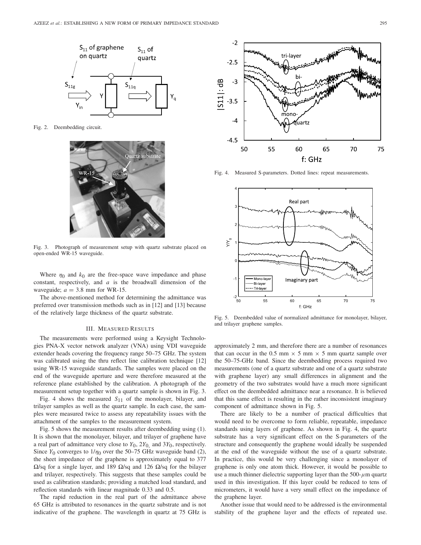

Fig. 2. Deembedding circuit.



Fig. 3. Photograph of measurement setup with quartz substrate placed on open-ended WR-15 waveguide.

Where  $\eta_0$  and  $k_0$  are the free-space wave impedance and phase constant, respectively, and *a* is the broadwall dimension of the waveguide;  $a = 3.8$  mm for WR-15.

The above-mentioned method for determining the admittance was preferred over transmission methods such as in [12] and [13] because of the relatively large thickness of the quartz substrate.

### III. MEASURED RESULTS

The measurements were performed using a Keysight Technologies PNA-X vector network analyzer (VNA) using VDI waveguide extender heads covering the frequency range 50–75 GHz. The system was calibrated using the thru reflect line calibration technique [12] using WR-15 waveguide standards. The samples were placed on the end of the waveguide aperture and were therefore measured at the reference plane established by the calibration. A photograph of the measurement setup together with a quartz sample is shown in Fig. 3.

Fig. 4 shows the measured  $S_{11}$  of the monolayer, bilayer, and trilayer samples as well as the quartz sample. In each case, the samples were measured twice to assess any repeatability issues with the attachment of the samples to the measurement system.

Fig. 5 shows the measurement results after deembedding using (1). It is shown that the monolayer, bilayer, and trilayer of graphene have a real part of admittance very close to  $Y_0$ ,  $2Y_0$  and  $3Y_0$ , respectively. Since  $Y_0$  converges to  $1/\eta_0$  over the 50–75 GHz waveguide band (2), the sheet impedance of the graphene is approximately equal to 377  $\Omega$ /sq for a single layer, and 189  $\Omega$ /sq and 126  $\Omega$ /sq for the bilayer and trilayer, respectively. This suggests that these samples could be used as calibration standards; providing a matched load standard, and reflection standards with linear magnitude 0.33 and 0.5.

The rapid reduction in the real part of the admittance above 65 GHz is attributed to resonances in the quartz substrate and is not indicative of the graphene. The wavelength in quartz at 75 GHz is



Fig. 4. Measured S-parameters. Dotted lines: repeat measurements.



Fig. 5. Deembedded value of normalized admittance for monolayer, bilayer, and trilayer graphene samples.

approximately 2 mm, and therefore there are a number of resonances that can occur in the 0.5 mm  $\times$  5 mm  $\times$  5 mm quartz sample over the 50–75-GHz band. Since the deembedding process required two measurements (one of a quartz substrate and one of a quartz substrate with graphene layer) any small differences in alignment and the geometry of the two substrates would have a much more significant effect on the deembedded admittance near a resonance. It is believed that this same effect is resulting in the rather inconsistent imaginary component of admittance shown in Fig. 5.

There are likely to be a number of practical difficulties that would need to be overcome to form reliable, repeatable, impedance standards using layers of graphene. As shown in Fig. 4, the quartz substrate has a very significant effect on the S-parameters of the structure and consequently the graphene would ideally be suspended at the end of the waveguide without the use of a quartz substrate. In practice, this would be very challenging since a monolayer of graphene is only one atom thick. However, it would be possible to use a much thinner dielectric supporting layer than the 500- $\mu$ m quartz used in this investigation. If this layer could be reduced to tens of micrometers, it would have a very small effect on the impedance of the graphene layer.

Another issue that would need to be addressed is the environmental stability of the graphene layer and the effects of repeated use.